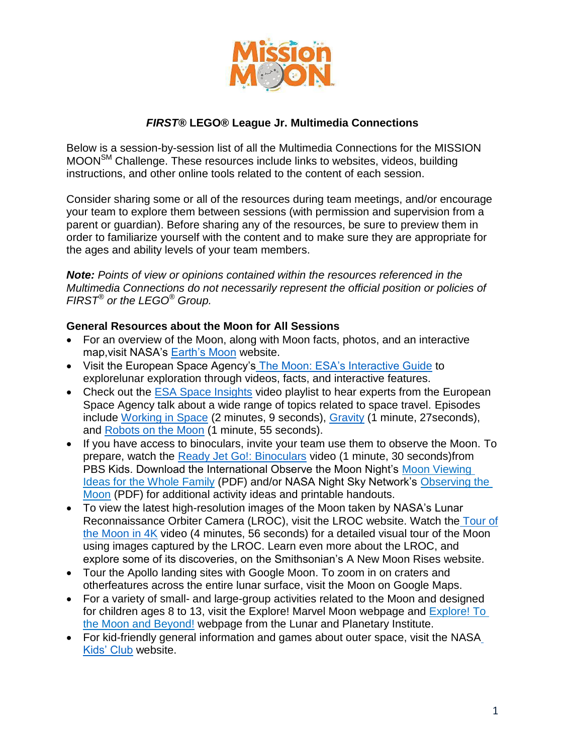

## *FIRST®* **LEGO® League Jr. Multimedia Connections**

Below is a session-by-session list of all the Multimedia Connections for the MISSION MOONSM Challenge. These resources include links to websites, videos, building instructions, and other online tools related to the content of each session.

Consider sharing some or all of the resources during team meetings, and/or encourage your team to explore them between sessions (with permission and supervision from a parent or guardian). Before sharing any of the resources, be sure to preview them in order to familiarize yourself with the content and to make sure they are appropriate for the ages and ability levels of your team members.

*Note: Points of view or opinions contained within the resources referenced in the Multimedia Connections do not necessarily represent the official position or policies of FIRST® or the LEGO® Group.* 

#### **General Resources about the Moon for All Sessions**

- For an overview of the Moon, along with Moon facts, photos, and an interactive map,visit NASA's [Earth's Moon](https://solarsystem.nasa.gov/moons/earths-moon/overview/) website.
- Visit the European Space Agency's [The Moon: ESA's Interactive Guide](http://lunarexploration.esa.int/%23/intro) to explorelunar exploration through videos, facts, and interactive features.
- Check out the [ESA Space Insights](https://www.youtube.com/playlist?list=PLvXsPiNykUX3D9vBRslHXQhK31YwZg-ze) video playlist to hear experts from the European Space Agency talk about a wide range of topics related to space travel. Episodes include [Working in Space](https://www.youtube.com/watch?v=x0zatjKhxkE&t=0s&list=PLvXsPiNykUX3D9vBRslHXQhK31YwZg-ze&index=2) (2 minutes, 9 seconds), [Gravity](https://www.youtube.com/watch?v=VAAIs4C_-FM&index=2&list=PLvXsPiNykUX3D9vBRslHXQhK31YwZg-ze) (1 minute, 27seconds), and [Robots on the Moon](https://www.youtube.com/watch?v=oIYmtLTouZ4&index=3&list=PLvXsPiNykUX3D9vBRslHXQhK31YwZg-ze) (1 minute, 55 seconds).
- If you have access to binoculars, invite your team use them to observe the Moon. To prepare, watch the [Ready Jet Go!: Binoculars](http://pbskids.org/video/ready-jet-go/2365664944) video (1 minute, 30 seconds)from PBS Kids. Download the International Observe the Moon Night's Moon [Viewing](https://web.archive.org/web/20151026011249/https:/www.lpi.usra.edu/observethemoonnight/activities/InOMN_Kit_Binder_Contents_9_2011.pdf)  [Ideas for the Whole Family](https://web.archive.org/web/20151026011249/https:/www.lpi.usra.edu/observethemoonnight/activities/InOMN_Kit_Binder_Contents_9_2011.pdf) (PDF) and/or NASA Night Sky Network's [Observing the](https://nightsky.jpl.nasa.gov/docs/ObserveMoon.pdf)  [Moon](https://nightsky.jpl.nasa.gov/docs/ObserveMoon.pdf) (PDF) for additional activity ideas and printable handouts.
- To view the latest high-resolution images of the Moon taken by NASA's Lunar Reconnaissance Orbiter Camera (LROC), visit the [LROC w](http://www.lroc.asu.edu/)ebsite. Watch the [Tour of](https://www.youtube.com/watch?v=nr5Pj6GQL2o) [the Moon in 4K](https://www.youtube.com/watch?v=nr5Pj6GQL2o) video (4 minutes, 56 seconds) for a detailed visual tour of the Moon using images captured by the LROC. Learn even more about the LROC, and explore some of its discoveries, on the Smithsonian's [A New Moon Rises](https://airandspace.si.edu/exhibitions/lroc/online/) website.
- Tour the Apollo landing sites with [Google Moon.](https://www.google.com/moon/) To zoom in on craters and otherfeatures across the entire lunar surface, visit the [Moon](https://www.google.com/maps/space/moon/) on Google Maps.
- For a variety of small- and large-group activities related to the Moon and designed for children ages 8 to 13, visit the [Explore! Marvel Moon w](https://www.lpi.usra.edu/education/explore/marvelMoon/)ebpage and [Explore!](https://www.lpi.usra.edu/education/explore/LRO/activities/) To [the Moon and Beyond!](https://www.lpi.usra.edu/education/explore/LRO/activities/) webpage from the Lunar and Planetary Institute.
- For kid-friendly general information and games about outer space, visit the [NASA](https://www.nasa.gov/kidsclub/index.html) [Kids' Club](https://www.nasa.gov/kidsclub/index.html) website.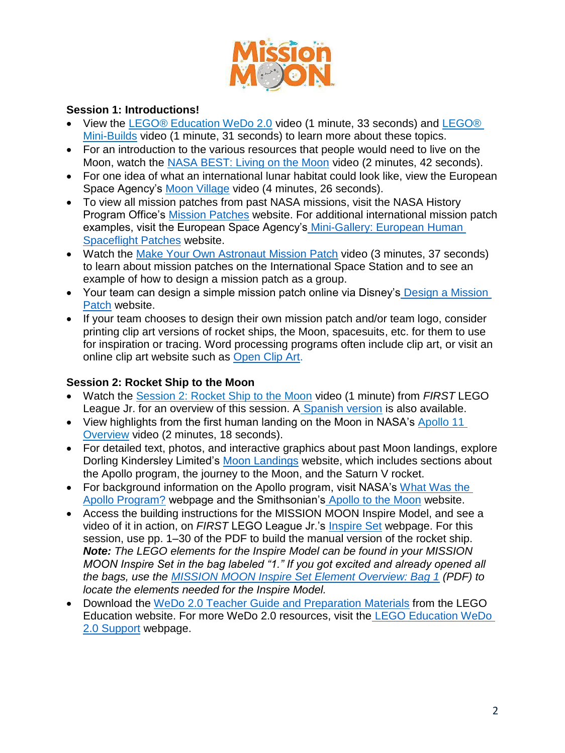

#### **Session 1: Introductions!**

- View the [LEGO® Education WeDo 2.0](https://www.youtube.com/watch?v=dK6gLgNOJmg) video (1 minute, 33 seconds) and [LEGO®](https://www.youtube.com/watch?v=Zz-_U_U1Znk)  [Mini-Builds](https://www.youtube.com/watch?v=Zz-_U_U1Znk) video (1 minute, 31 seconds) to learn more about these topics.
- For an introduction to the various resources that people would need to live on the Moon, watch the [NASA BEST: Living on the Moon](https://www.youtube.com/watch?v=TNrhADcTNBk) video (2 minutes, 42 seconds).
- For one idea of what an international lunar habitat could look like, view the European Space Agency's [Moon Village](https://www.youtube.com/watch?v=amYK5voqLSk) video (4 minutes, 26 seconds).
- To view all mission patches from past NASA missions, visit the NASA History Program Office's [Mission Patches](https://history.nasa.gov/mission_patches.html) website. For additional international mission patch examples, visit the European Space Agency's [Mini-Gallery: European Human](http://www.esa.int/About_Us/Welcome_to_ESA/ESA_history/European_human_spaceflight_patches) [Spaceflight Patches](http://www.esa.int/About_Us/Welcome_to_ESA/ESA_history/European_human_spaceflight_patches) website.
- Watch the [Make Your Own Astronaut](https://www.youtube.com/watch?v=u6zHQ_GOoXc&feature=youtu.be) Mission Patch video (3 minutes, 37 seconds) to learn about mission patches on the International Space Station and to see an example of how to design a mission patch as a group.
- Your team can design a simple mission patch online via Disney's [Design a Mission](http://disney.go.com/vacations/missionspace/missionpatch.html)  [Patch](http://disney.go.com/vacations/missionspace/missionpatch.html) website.
- If your team chooses to design their own mission patch and/or team logo, consider printing clip art versions of rocket ships, the Moon, spacesuits, etc. for them to use for inspiration or tracing. Word processing programs often include clip art, or visit an online clip art website such as [Open Clip Art.](https://openclipart.org/)

#### **Session 2: Rocket Ship to the Moon**

- Watch the [Session 2: Rocket Ship to the Moon](https://youtu.be/aAuZbmi35zM) video (1 minute) from *FIRST* LEGO League Jr. for an overview of this session. A [Spanish version](https://youtu.be/3tZkdINmaO4) is also available.
- View highlights from the first human landing on the Moon in NASA's Apollo 11 [Overview](https://www.youtube.com/watch?v=F9MBpdc6Jyw) video (2 minutes, 18 seconds).
- For detailed text, photos, and interactive graphics about past Moon landings, explore Dorling Kindersley Limited's [Moon Landings](https://www.dkfindout.com/uk/space/moon-landings/) website, which includes sections about the Apollo program, the journey to the Moon, and the Saturn V rocket.
- For background information on the Apollo program, visit NASA's [What](https://www.nasa.gov/audience/forstudents/k-4/stories/nasa-knows/what-was-apollo-program-k4.html) Was the [Apollo Program?](https://www.nasa.gov/audience/forstudents/k-4/stories/nasa-knows/what-was-apollo-program-k4.html) webpage and the Smithsonian's [Apollo to the Moon](https://airandspace.si.edu/exhibitions/apollo-to-the-moon/online/) website.
- Access the building instructions for the MISSION MOON Inspire Model, and see a video of it in action, on *FIRST* LEGO League Jr.'s [Inspire Set](http://firstlegoleaguejr.org/inspireset) webpage. For this session, use pp. 1–30 of the PDF to build the manual version of the rocket ship. *Note: The LEGO elements for the Inspire Model can be found in your MISSION MOON Inspire Set in the bag labeled "1." If you got excited and already opened all the bags, use the [MISSION MOON Inspire Set Element Overview: Bag 1](https://firstinspiresst01.blob.core.windows.net/flljr/2019/element-overview-bag-1.pdf) (PDF) to locate the elements needed for the Inspire Model.*
- Download the [WeDo 2.0 Teacher Guide and Preparation Materials](https://education.lego.com/en-us/support/wedo-2/teacher-guides) from the LEGO Education website. For more WeDo 2.0 resources, visit the [LEGO Education WeDo](https://education.lego.com/en-us/support/wedo-2?domainredir=legoeducation.com) [2.0 Support](https://education.lego.com/en-us/support/wedo-2?domainredir=legoeducation.com) webpage.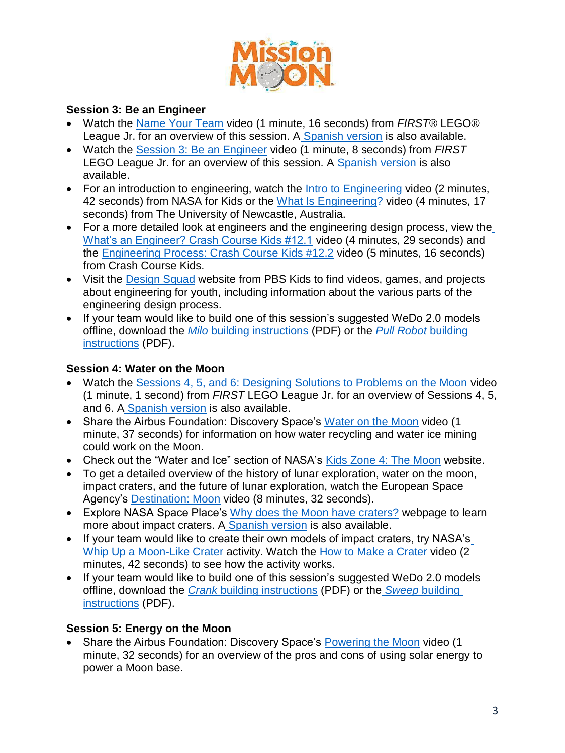

#### **Session 3: Be an Engineer**

- Watch the [Name Your Team](https://youtu.be/rHIh6DUjzfI) video (1 minute, 16 seconds) from *FIRST®* LEGO® League Jr. for an overview of this session. A [Spanish version](https://youtu.be/pj6xlS_2Md4) is also available.
- Watch the [Session 3: Be an Engineer](https://youtu.be/y_QS2cGszJE) video (1 minute, 8 seconds) from *FIRST*  LEGO League Jr. for an overview of this session. A [Spanish version](https://youtu.be/SiRAVTGrpYE) is also available.
- For an introduction to engineering, watch the [Intro to Engineering](http://svs.gsfc.nasa.gov/cgi-bin/details.cgi?aid=10719) video (2 minutes, 42 seconds) from NASA for Kids or the [What Is Engineering?](https://www.youtube.com/watch?v=bipTWWHya8A) video (4 minutes, 17 seconds) from The University of Newcastle, Australia.
- For a more detailed look at engineers and the engineering design process, view th[e](https://www.youtube.com/watch?v=owHF9iLyxic) [What's an Engineer? Crash Course Kids #12.1](https://www.youtube.com/watch?v=owHF9iLyxic) video (4 minutes, 29 seconds) and the [Engineering Process: Crash Course Kids #12.2](https://www.youtube.com/watch?v=fxJWin195kU) video (5 minutes, 16 seconds) from Crash Course Kids.
- Visit the [Design Squad](http://pbskids.org/designsquad/) website from PBS Kids to find videos, games, and projects about engineering for youth, including information about the various parts of the engineering design process.
- If your team would like to build one of this session's suggested WeDo 2.0 models offline, download the *Milo* [building instructions](https://le-www-live-s.legocdn.com/sc/media/files/building-instructions/wedo-2/45300_16_milo-e11f60231359c9f315dcdfa782b29eee.pdf) (PDF) or the *[Pull Robot](https://le-www-live-s.legocdn.com/sc/media/files/building-instructions/wedo-2/45300_01a_pull-7775fb55762572403a42f3dc77881afa.pdf)* buildin[g](https://le-www-live-s.legocdn.com/sc/media/files/building-instructions/wedo-2/45300_01a_pull-7775fb55762572403a42f3dc77881afa.pdf) [instructions](https://le-www-live-s.legocdn.com/sc/media/files/building-instructions/wedo-2/45300_01a_pull-7775fb55762572403a42f3dc77881afa.pdf) (PDF).

#### **Session 4: Water on the Moon**

- Watch the [Sessions 4, 5, and 6: Designing Solutions to Problems on the Moon](https://youtu.be/69NWxlY5iiw) video (1 minute, 1 second) from *FIRST* LEGO League Jr. for an overview of Sessions 4, 5, and 6. A [Spanish version](https://youtu.be/tUqP87pwPGE) is also available.
- Share the Airbus Foundation: Discovery Space's [Water on the Moon](https://www.youtube.com/watch?v=wHJ3F7eIxEM) video (1) minute, 37 seconds) for information on how water recycling and water ice mining could work on the Moon.
- Check out the "Water and Ice" section of NASA's [Kids Zone 4: The](https://solc.gsfc.nasa.gov/kidszone4.html) [Moon](https://solc.gsfc.nasa.gov/kidszone4.html) website.
- To get a detailed overview of the history of lunar exploration, water on the moon, impact craters, and the future of lunar exploration, watch the European Space Agency's [Destination: Moon](https://www.youtube.com/watch?v=Xe_nuRMH30c) video (8 minutes, 32 seconds).
- Explore NASA Space Place's [Why does the Moon have craters?](https://spaceplace.nasa.gov/craters/en/) webpage to learn more about impact craters. A [Spanish version](https://spaceplace.nasa.gov/craters/sp/) is also available.
- If your team would like to create their own model[s](https://www.jpl.nasa.gov/edu/teach/activity/make-a-crater/) of impact craters, try NASA's [Whip Up a Moon-Like Crater](https://www.jpl.nasa.gov/edu/teach/activity/make-a-crater/) activity. Watch the [How to Make a Crater](https://www.jpl.nasa.gov/video/details.php?id=931) video (2 minutes, 42 seconds) to see how the activity works.
- If your team would like to build one of this session's suggested WeDo 2.0 models offline, download the *Crank* [building instructions](https://le-www-live-s.legocdn.com/sc/media/files/building-instructions/wedo-2/45300_03_crank-7c3f3b8a0f7270758d2790f330f5d476.pdf) (PDF) or the *Sweep* [building](https://le-www-live-s.legocdn.com/sc/media/files/building-instructions/wedo-2/45300_13_sweep-f14f39bf33694b112ec5a68ffc20008f.pdf) [instructions](https://le-www-live-s.legocdn.com/sc/media/files/building-instructions/wedo-2/45300_13_sweep-f14f39bf33694b112ec5a68ffc20008f.pdf) (PDF).

#### **Session 5: Energy on the Moon**

 Share the Airbus Foundation: Discovery Space's [Powering the Moon](https://youtu.be/nI8JZwRyfuQ) video (1 minute, 32 seconds) for an overview of the pros and cons of using solar energy to power a Moon base.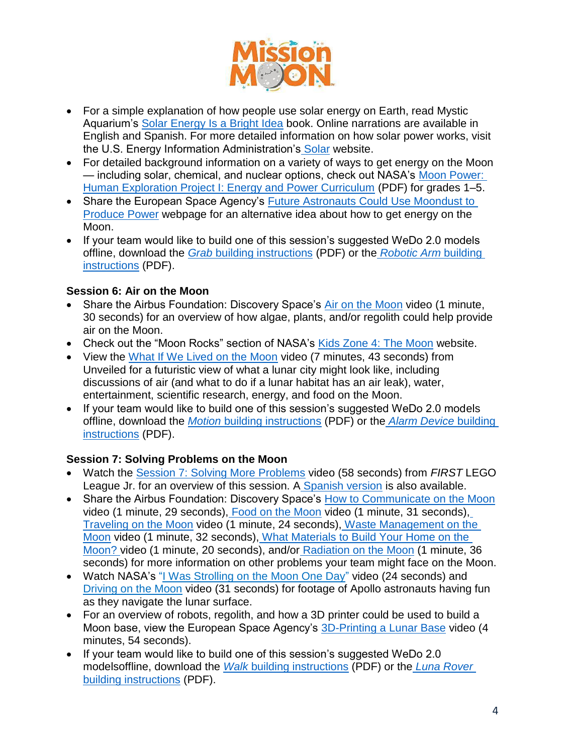

- For a simple explanation of how people use solar energy on Earth, read Mystic Aquarium's [Solar Energy Is a Bright Idea](https://www.uniteforliteracy.com/mystic/energy/book?BookId=1603) book. Online narrations are available in English and Spanish. For more detailed information on how solar power works, visit the U.S. Energy Information Administration's [Solar](https://www.eia.gov/kids/energy.php?page=solar_home) website.
- For detailed background information on a variety of ways to get energy on the Moon — including solar, chemical, and nuclear options, check out NASA's [Moon Power:](https://www.nasa.gov/pdf/475482main_HEP_I_ELEM.pdf) [Human Exploration Project I: Energy and Power Curriculum](https://www.nasa.gov/pdf/475482main_HEP_I_ELEM.pdf) (PDF) for grades 1–5.
- Share the European Space Agency's [Future Astronauts Could Use Moondust to](https://www.esa.int/esaKIDSen/SEM9REYH81J_OurUniverse_0.html) [Produce Power](https://www.esa.int/esaKIDSen/SEM9REYH81J_OurUniverse_0.html) webpage for an alternative idea about how to get energy on the Moon.
- If your team would like to build one of this session's suggested WeDo 2.0 models offline, download the *Grab* [building instructions](https://le-www-live-s.legocdn.com/sc/media/files/building-instructions/wedo-2/45300_09_grab-da78bf0dced02ae1e52f157b6811867c.pdf) (PDF) or the *[Robotic Arm](https://le-www-live-s.legocdn.com/sc/media/files/building-instructions/wedo-2/45300_09a_robotic_arm-8eef80f6ffccdbb839042ad526d438fe.pdf)* buildin[g](https://le-www-live-s.legocdn.com/sc/media/files/building-instructions/wedo-2/45300_09a_robotic_arm-8eef80f6ffccdbb839042ad526d438fe.pdf) [instructions](https://le-www-live-s.legocdn.com/sc/media/files/building-instructions/wedo-2/45300_09a_robotic_arm-8eef80f6ffccdbb839042ad526d438fe.pdf) (PDF).

# **Session 6: Air on the Moon**

- Share the Airbus Foundation: Discovery Space's [Air on the Moon](https://www.youtube.com/watch?v=FB73PfJg1EQ) video (1 minute, 30 seconds) for an overview of how algae, plants, and/or regolith could help provide air on the Moon.
- Check out the "Moon Rocks" section of NASA's [Kids Zone 4: The](https://solc.gsfc.nasa.gov/kidszone4.html) [Moon](https://solc.gsfc.nasa.gov/kidszone4.html) website.
- View the [What If We Lived on the Moon](https://www.youtube.com/watch?v=BAzHsMY0ZJ8) video (7 minutes, 43 seconds) from Unveiled for a futuristic view of what a lunar city might look like, including discussions of air (and what to do if a lunar habitat has an air leak), water, entertainment, scientific research, energy, and food on the Moon.
- If your team would like to build one of this session's suggested WeDo 2.0 models offline, download the *Motion* [building instructions](https://le-www-live-s.legocdn.com/sc/media/files/building-instructions/wedo-2/45300_14_motion-e227eeb466ac25981fc47b61fbdc30b1.pdf) (PDF) or the *[Alarm Device](https://le-www-live-s.legocdn.com/sc/media/files/building-instructions/wedo-2/45300_11a_alarm_device-da697954513c220be95391f35a135a3e.pdf)* buildin[g](https://le-www-live-s.legocdn.com/sc/media/files/building-instructions/wedo-2/45300_11a_alarm_device-da697954513c220be95391f35a135a3e.pdf) [instructions](https://le-www-live-s.legocdn.com/sc/media/files/building-instructions/wedo-2/45300_11a_alarm_device-da697954513c220be95391f35a135a3e.pdf) (PDF).

# **Session 7: Solving Problems on the Moon**

- Watch the [Session 7: Solving More Problems](https://youtu.be/_mP21MYk8fs) video (58 seconds) from *FIRST* LEGO League Jr. for an overview of this session. A [Spanish version](https://youtu.be/VP-GwuurYJI) is also available.
- Share the Airbus Foundation: Discovery Space's [How to Communicate on the Moon](https://www.youtube.com/watch?v=qgIGzKGdNMo) video (1 minute, 29 seconds), [Food on the Moon](https://www.youtube.com/watch?v=qo7snWZj17Q) video (1 minute, 31 seconds)[,](https://www.youtube.com/watch?v=023KfH_5qsw) [Traveling on the Moon](https://www.youtube.com/watch?v=023KfH_5qsw) video (1 minute, 24 seconds), [Waste Management on the](https://www.youtube.com/watch?v=jmavqwQ0Suc) [Moon](https://www.youtube.com/watch?v=jmavqwQ0Suc) video (1 minute, 32 seconds), [What Materials to Build Your Home on the](https://youtu.be/2QpGXe85S3I) [Moon? v](https://youtu.be/2QpGXe85S3I)ideo (1 minute, 20 seconds), and/or [Radiation on the Moon](https://www.youtube.com/watch?v=CjK8q7YZc6E) (1 minute, 36 seconds) for more information on other problems your team might face on the Moon.
- Watch NASA's ["I Was Strolling on the Moon One Day"](https://www.youtube.com/watch?v=Zl_VdN6rfrQ) video (24 seconds) and [Driving on the Moon](https://www.youtube.com/watch?v=NRqHubCtKmE) video (31 seconds) for footage of Apollo astronauts having fun as they navigate the lunar surface.
- For an overview of robots, regolith, and how a 3D printer could be used to build a Moon base, view the European Space Agency's [3D-Printing a Lunar Base](https://www.youtube.com/watch?v=pk9PWUGkz7o) video (4 minutes, 54 seconds).
- If your team would like to build one of this session's suggested WeDo 2.0 modelsoffline, download the *Walk* [building instructions](https://le-www-live-s.legocdn.com/sc/media/files/building-instructions/wedo-2/45300_04_walk-39d59297657807915ff3e33702d75c04.pdf) (PDF) or the *[Luna Rover](https://le-www-live-s.legocdn.com/sc/media/files/building-instructions/wedo-2/45300_16a_luna_rover-f771638b3951fb58691b9dd82e104a4f.pdf)*  [building](https://le-www-live-s.legocdn.com/sc/media/files/building-instructions/wedo-2/45300_16a_luna_rover-f771638b3951fb58691b9dd82e104a4f.pdf) [instructions](https://le-www-live-s.legocdn.com/sc/media/files/building-instructions/wedo-2/45300_16a_luna_rover-f771638b3951fb58691b9dd82e104a4f.pdf) (PDF).